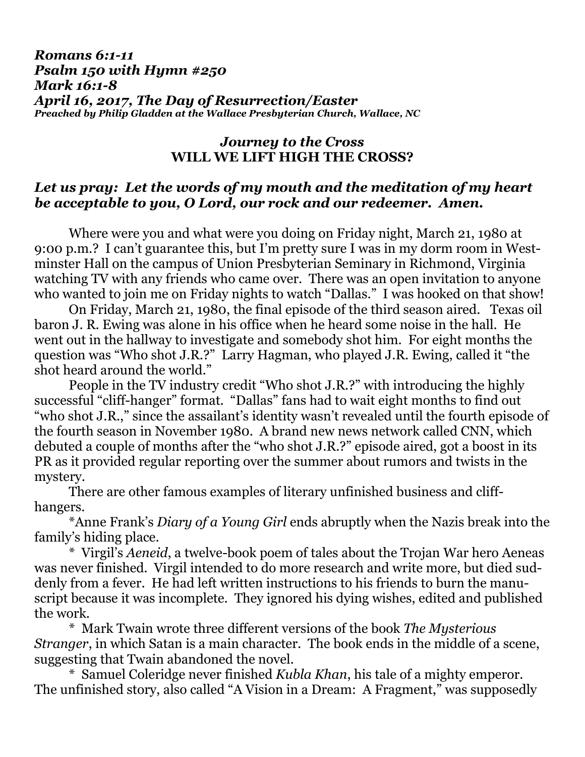## *Romans 6:1-11 Psalm 150 with Hymn #250 Mark 16:1-8 April 16, 2017, The Day of Resurrection/Easter Preached by Philip Gladden at the Wallace Presbyterian Church, Wallace, NC*

## *Journey to the Cross* **WILL WE LIFT HIGH THE CROSS?**

## *Let us pray: Let the words of my mouth and the meditation of my heart be acceptable to you, O Lord, our rock and our redeemer. Amen.*

Where were you and what were you doing on Friday night, March 21, 1980 at 9:00 p.m.? I can't guarantee this, but I'm pretty sure I was in my dorm room in Westminster Hall on the campus of Union Presbyterian Seminary in Richmond, Virginia watching TV with any friends who came over. There was an open invitation to anyone who wanted to join me on Friday nights to watch "Dallas." I was hooked on that show!

On Friday, March 21, 1980, the final episode of the third season aired. Texas oil baron J. R. Ewing was alone in his office when he heard some noise in the hall. He went out in the hallway to investigate and somebody shot him. For eight months the question was "Who shot J.R.?" Larry Hagman, who played J.R. Ewing, called it "the shot heard around the world."

People in the TV industry credit "Who shot J.R.?" with introducing the highly successful "cliff-hanger" format. "Dallas" fans had to wait eight months to find out "who shot J.R.," since the assailant's identity wasn't revealed until the fourth episode of the fourth season in November 1980. A brand new news network called CNN, which debuted a couple of months after the "who shot J.R.?" episode aired, got a boost in its PR as it provided regular reporting over the summer about rumors and twists in the mystery.

There are other famous examples of literary unfinished business and cliffhangers.

\*Anne Frank's *Diary of a Young Girl* ends abruptly when the Nazis break into the family's hiding place.

\* Virgil's *Aeneid*, a twelve-book poem of tales about the Trojan War hero Aeneas was never finished. Virgil intended to do more research and write more, but died suddenly from a fever. He had left written instructions to his friends to burn the manuscript because it was incomplete. They ignored his dying wishes, edited and published the work.

\* Mark Twain wrote three different versions of the book *The Mysterious Stranger*, in which Satan is a main character. The book ends in the middle of a scene, suggesting that Twain abandoned the novel.

\* Samuel Coleridge never finished *Kubla Khan*, his tale of a mighty emperor. The unfinished story, also called "A Vision in a Dream: A Fragment," was supposedly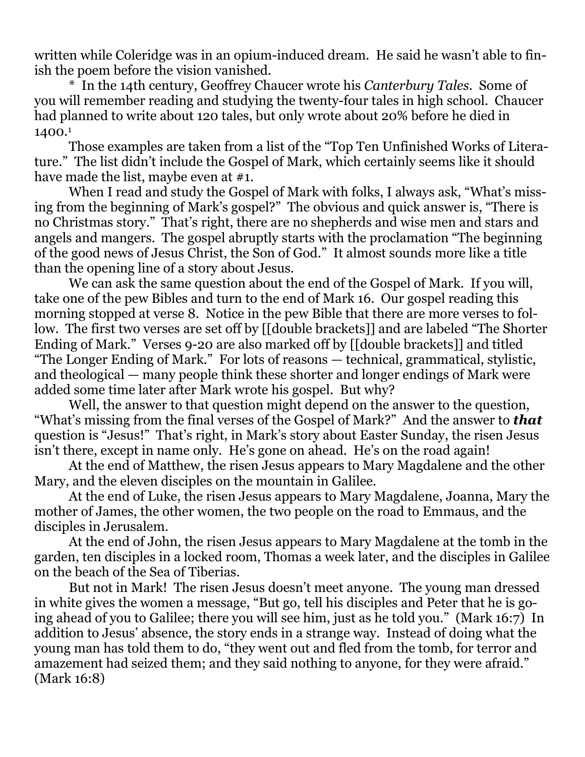written while Coleridge was in an opium-induced dream. He said he wasn't able to finish the poem before the vision vanished.

\* In the 14th century, Geoffrey Chaucer wrote his *Canterbury Tales*. Some of you will remember reading and studying the twenty-four tales in high school. Chaucer had planned to write about 120 tales, but only wrote about 20% before he died in 1400.<sup>1</sup>

Those examples are taken from a list of the "Top Ten Unfinished Works of Literature." The list didn't include the Gospel of Mark, which certainly seems like it should have made the list, maybe even at #1.

When I read and study the Gospel of Mark with folks, I always ask, "What's missing from the beginning of Mark's gospel?" The obvious and quick answer is, "There is no Christmas story." That's right, there are no shepherds and wise men and stars and angels and mangers. The gospel abruptly starts with the proclamation "The beginning of the good news of Jesus Christ, the Son of God." It almost sounds more like a title than the opening line of a story about Jesus.

We can ask the same question about the end of the Gospel of Mark. If you will, take one of the pew Bibles and turn to the end of Mark 16. Our gospel reading this morning stopped at verse 8. Notice in the pew Bible that there are more verses to follow. The first two verses are set off by [[double brackets]] and are labeled "The Shorter Ending of Mark." Verses 9-20 are also marked off by [[double brackets]] and titled "The Longer Ending of Mark." For lots of reasons — technical, grammatical, stylistic, and theological — many people think these shorter and longer endings of Mark were added some time later after Mark wrote his gospel. But why?

Well, the answer to that question might depend on the answer to the question, "What's missing from the final verses of the Gospel of Mark?" And the answer to *that* question is "Jesus!" That's right, in Mark's story about Easter Sunday, the risen Jesus isn't there, except in name only. He's gone on ahead. He's on the road again!

At the end of Matthew, the risen Jesus appears to Mary Magdalene and the other Mary, and the eleven disciples on the mountain in Galilee.

At the end of Luke, the risen Jesus appears to Mary Magdalene, Joanna, Mary the mother of James, the other women, the two people on the road to Emmaus, and the disciples in Jerusalem.

At the end of John, the risen Jesus appears to Mary Magdalene at the tomb in the garden, ten disciples in a locked room, Thomas a week later, and the disciples in Galilee on the beach of the Sea of Tiberias.

But not in Mark! The risen Jesus doesn't meet anyone. The young man dressed in white gives the women a message, "But go, tell his disciples and Peter that he is going ahead of you to Galilee; there you will see him, just as he told you." (Mark 16:7) In addition to Jesus' absence, the story ends in a strange way. Instead of doing what the young man has told them to do, "they went out and fled from the tomb, for terror and amazement had seized them; and they said nothing to anyone, for they were afraid." (Mark 16:8)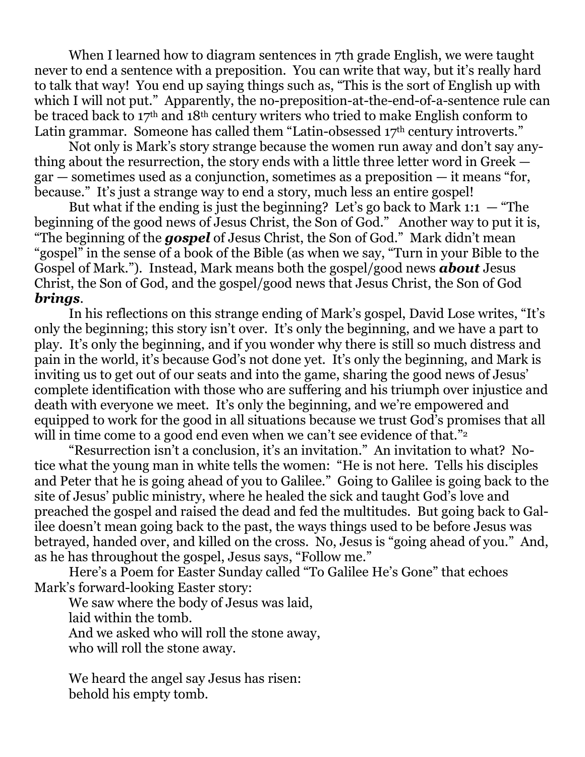When I learned how to diagram sentences in 7th grade English, we were taught never to end a sentence with a preposition. You can write that way, but it's really hard to talk that way! You end up saying things such as, "This is the sort of English up with which I will not put." Apparently, the no-preposition-at-the-end-of-a-sentence rule can be traced back to 17th and 18th century writers who tried to make English conform to Latin grammar. Someone has called them "Latin-obsessed 17<sup>th</sup> century introverts."

Not only is Mark's story strange because the women run away and don't say anything about the resurrection, the story ends with a little three letter word in Greek gar — sometimes used as a conjunction, sometimes as a preposition — it means "for, because." It's just a strange way to end a story, much less an entire gospel!

But what if the ending is just the beginning? Let's go back to Mark 1:1  $-$  "The beginning of the good news of Jesus Christ, the Son of God." Another way to put it is, "The beginning of the *gospel* of Jesus Christ, the Son of God." Mark didn't mean "gospel" in the sense of a book of the Bible (as when we say, "Turn in your Bible to the Gospel of Mark."). Instead, Mark means both the gospel/good news *about* Jesus Christ, the Son of God, and the gospel/good news that Jesus Christ, the Son of God *brings*.

In his reflections on this strange ending of Mark's gospel, David Lose writes, "It's only the beginning; this story isn't over. It's only the beginning, and we have a part to play. It's only the beginning, and if you wonder why there is still so much distress and pain in the world, it's because God's not done yet. It's only the beginning, and Mark is inviting us to get out of our seats and into the game, sharing the good news of Jesus' complete identification with those who are suffering and his triumph over injustice and death with everyone we meet. It's only the beginning, and we're empowered and equipped to work for the good in all situations because we trust God's promises that all will in time come to a good end even when we can't see evidence of that."<sup>2</sup>

"Resurrection isn't a conclusion, it's an invitation." An invitation to what? Notice what the young man in white tells the women: "He is not here. Tells his disciples and Peter that he is going ahead of you to Galilee." Going to Galilee is going back to the site of Jesus' public ministry, where he healed the sick and taught God's love and preached the gospel and raised the dead and fed the multitudes. But going back to Galilee doesn't mean going back to the past, the ways things used to be before Jesus was betrayed, handed over, and killed on the cross. No, Jesus is "going ahead of you." And, as he has throughout the gospel, Jesus says, "Follow me."

Here's a Poem for Easter Sunday called "To Galilee He's Gone" that echoes Mark's forward-looking Easter story:

We saw where the body of Jesus was laid, laid within the tomb. And we asked who will roll the stone away, who will roll the stone away.

We heard the angel say Jesus has risen: behold his empty tomb.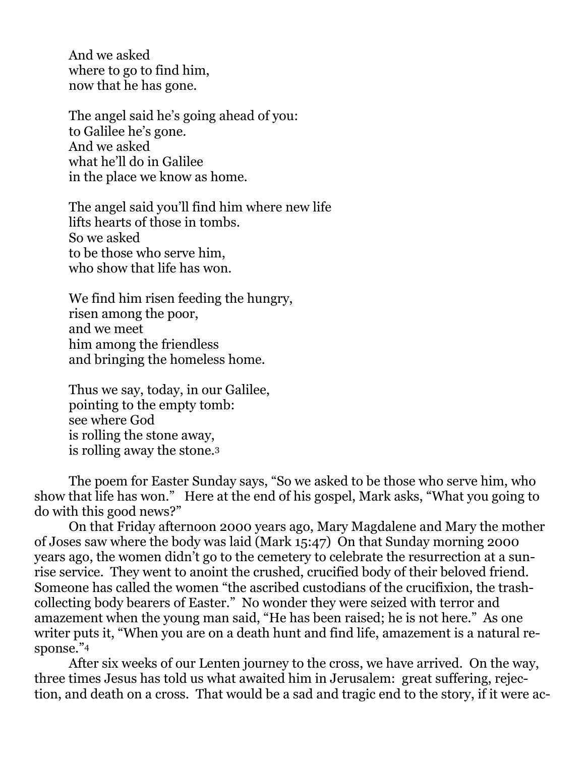And we asked where to go to find him, now that he has gone.

The angel said he's going ahead of you: to Galilee he's gone. And we asked what he'll do in Galilee in the place we know as home.

The angel said you'll find him where new life lifts hearts of those in tombs. So we asked to be those who serve him, who show that life has won.

We find him risen feeding the hungry, risen among the poor, and we meet him among the friendless and bringing the homeless home.

Thus we say, today, in our Galilee, pointing to the empty tomb: see where God is rolling the stone away, is rolling away the stone.<sup>3</sup>

The poem for Easter Sunday says, "So we asked to be those who serve him, who show that life has won." Here at the end of his gospel, Mark asks, "What you going to do with this good news?"

On that Friday afternoon 2000 years ago, Mary Magdalene and Mary the mother of Joses saw where the body was laid (Mark 15:47) On that Sunday morning 2000 years ago, the women didn't go to the cemetery to celebrate the resurrection at a sunrise service. They went to anoint the crushed, crucified body of their beloved friend. Someone has called the women "the ascribed custodians of the crucifixion, the trashcollecting body bearers of Easter." No wonder they were seized with terror and amazement when the young man said, "He has been raised; he is not here." As one writer puts it, "When you are on a death hunt and find life, amazement is a natural response."4

After six weeks of our Lenten journey to the cross, we have arrived. On the way, three times Jesus has told us what awaited him in Jerusalem: great suffering, rejection, and death on a cross. That would be a sad and tragic end to the story, if it were ac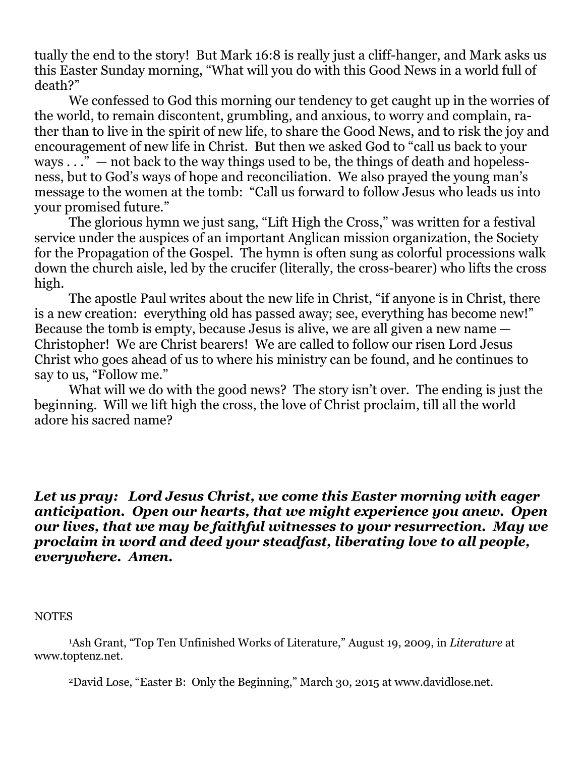tually the end to the story! But Mark 16:8 is really just a cliff-hanger, and Mark asks us this Easter Sunday morning, "What will you do with this Good News in a world full of death?"

We confessed to God this morning our tendency to get caught up in the worries of the world, to remain discontent, grumbling, and anxious, to worry and complain, rather than to live in the spirit of new life, to share the Good News, and to risk the joy and encouragement of new life in Christ. But then we asked God to "call us back to your ways  $\dots$ " — not back to the way things used to be, the things of death and hopelessness, but to God's ways of hope and reconciliation. We also prayed the young man's message to the women at the tomb: "Call us forward to follow Jesus who leads us into your promised future."

The glorious hymn we just sang, "Lift High the Cross," was written for a festival service under the auspices of an important Anglican mission organization, the Society for the Propagation of the Gospel. The hymn is often sung as colorful processions walk down the church aisle, led by the crucifer (literally, the cross-bearer) who lifts the cross high.

The apostle Paul writes about the new life in Christ, "if anyone is in Christ, there is a new creation: everything old has passed away; see, everything has become new!" Because the tomb is empty, because Jesus is alive, we are all given a new name — Christopher! We are Christ bearers! We are called to follow our risen Lord Jesus Christ who goes ahead of us to where his ministry can be found, and he continues to say to us, "Follow me."

What will we do with the good news? The story isn't over. The ending is just the beginning. Will we lift high the cross, the love of Christ proclaim, till all the world adore his sacred name?

*Let us pray: Lord Jesus Christ, we come this Easter morning with eager anticipation. Open our hearts, that we might experience you anew. Open our lives, that we may be faithful witnesses to your resurrection. May we proclaim in word and deed your steadfast, liberating love to all people, everywhere. Amen.*

## **NOTES**

<sup>1</sup>Ash Grant, "Top Ten Unfinished Works of Literature," August 19, 2009, in *Literature* at [www.toptenz.net.](http://www.toptenz.net/)

<sup>2</sup>David Lose, "Easter B: Only the Beginning," March 30, 2015 at [www.davidlose.net.](http://www.davidlose.net/)